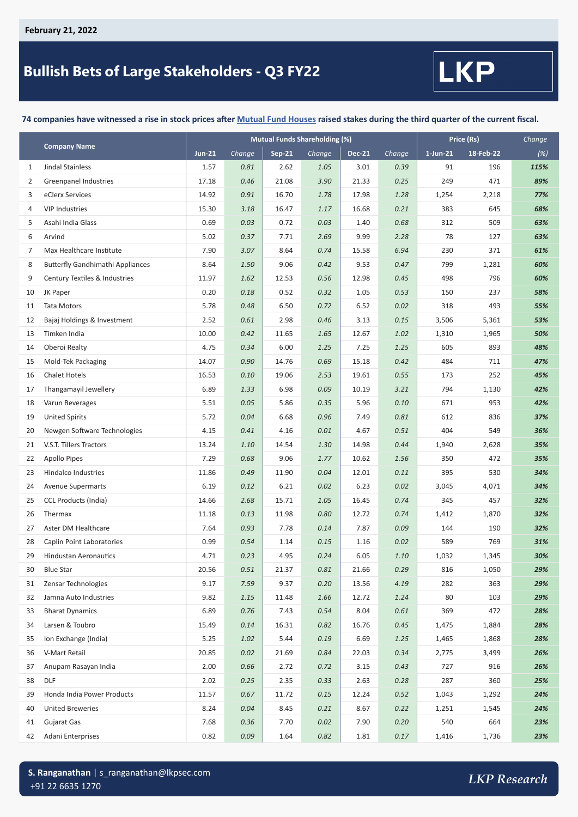## **Bullish Bets of Large Stakeholders - Q3 FY22**



#### **74 companies have witnessed a rise in stock prices after Mutual Fund Houses raised stakes during the third quarter of the current fiscal.**

|    |                                         | <b>Mutual Funds Shareholding (%)</b> |        |               |        |        |        | Price (Rs)  | Change    |      |
|----|-----------------------------------------|--------------------------------------|--------|---------------|--------|--------|--------|-------------|-----------|------|
|    | <b>Company Name</b>                     | <b>Jun-21</b>                        | Change | <b>Sep-21</b> | Change | Dec-21 | Change | $1$ -Jun-21 | 18-Feb-22 | (%)  |
| 1  | Jindal Stainless                        | 1.57                                 | 0.81   | 2.62          | 1.05   | 3.01   | 0.39   | 91          | 196       | 115% |
| 2  | <b>Greenpanel Industries</b>            | 17.18                                | 0.46   | 21.08         | 3.90   | 21.33  | 0.25   | 249         | 471       | 89%  |
| 3  | eClerx Services                         | 14.92                                | 0.91   | 16.70         | 1.78   | 17.98  | 1.28   | 1,254       | 2,218     | 77%  |
| 4  | <b>VIP Industries</b>                   | 15.30                                | 3.18   | 16.47         | 1.17   | 16.68  | 0.21   | 383         | 645       | 68%  |
| 5  | Asahi India Glass                       | 0.69                                 | 0.03   | 0.72          | 0.03   | 1.40   | 0.68   | 312         | 509       | 63%  |
| 6  | Arvind                                  | 5.02                                 | 0.37   | 7.71          | 2.69   | 9.99   | 2.28   | 78          | 127       | 63%  |
| 7  | Max Healthcare Institute                | 7.90                                 | 3.07   | 8.64          | 0.74   | 15.58  | 6.94   | 230         | 371       | 61%  |
| 8  | <b>Butterfly Gandhimathi Appliances</b> | 8.64                                 | 1.50   | 9.06          | 0.42   | 9.53   | 0.47   | 799         | 1,281     | 60%  |
| 9  | Century Textiles & Industries           | 11.97                                | 1.62   | 12.53         | 0.56   | 12.98  | 0.45   | 498         | 796       | 60%  |
| 10 | JK Paper                                | 0.20                                 | 0.18   | 0.52          | 0.32   | 1.05   | 0.53   | 150         | 237       | 58%  |
| 11 | <b>Tata Motors</b>                      | 5.78                                 | 0.48   | 6.50          | 0.72   | 6.52   | 0.02   | 318         | 493       | 55%  |
| 12 | Bajaj Holdings & Investment             | 2.52                                 | 0.61   | 2.98          | 0.46   | 3.13   | 0.15   | 3,506       | 5,361     | 53%  |
| 13 | Timken India                            | 10.00                                | 0.42   | 11.65         | 1.65   | 12.67  | 1.02   | 1,310       | 1,965     | 50%  |
| 14 | Oberoi Realty                           | 4.75                                 | 0.34   | 6.00          | 1.25   | 7.25   | 1.25   | 605         | 893       | 48%  |
| 15 | Mold-Tek Packaging                      | 14.07                                | 0.90   | 14.76         | 0.69   | 15.18  | 0.42   | 484         | 711       | 47%  |
| 16 | <b>Chalet Hotels</b>                    | 16.53                                | 0.10   | 19.06         | 2.53   | 19.61  | 0.55   | 173         | 252       | 45%  |
| 17 | Thangamayil Jewellery                   | 6.89                                 | 1.33   | 6.98          | 0.09   | 10.19  | 3.21   | 794         | 1,130     | 42%  |
| 18 | Varun Beverages                         | 5.51                                 | 0.05   | 5.86          | 0.35   | 5.96   | 0.10   | 671         | 953       | 42%  |
| 19 | <b>United Spirits</b>                   | 5.72                                 | 0.04   | 6.68          | 0.96   | 7.49   | 0.81   | 612         | 836       | 37%  |
| 20 | Newgen Software Technologies            | 4.15                                 | 0.41   | 4.16          | 0.01   | 4.67   | 0.51   | 404         | 549       | 36%  |
| 21 | V.S.T. Tillers Tractors                 | 13.24                                | 1.10   | 14.54         | 1.30   | 14.98  | 0.44   | 1,940       | 2,628     | 35%  |
| 22 | <b>Apollo Pipes</b>                     | 7.29                                 | 0.68   | 9.06          | 1.77   | 10.62  | 1.56   | 350         | 472       | 35%  |
| 23 | Hindalco Industries                     | 11.86                                | 0.49   | 11.90         | 0.04   | 12.01  | 0.11   | 395         | 530       | 34%  |
| 24 | <b>Avenue Supermarts</b>                | 6.19                                 | 0.12   | 6.21          | 0.02   | 6.23   | 0.02   | 3,045       | 4,071     | 34%  |
| 25 | <b>CCL Products (India)</b>             | 14.66                                | 2.68   | 15.71         | 1.05   | 16.45  | 0.74   | 345         | 457       | 32%  |
| 26 | Thermax                                 | 11.18                                | 0.13   | 11.98         | 0.80   | 12.72  | 0.74   | 1,412       | 1,870     | 32%  |
| 27 | Aster DM Healthcare                     | 7.64                                 | 0.93   | 7.78          | 0.14   | 7.87   | 0.09   | 144         | 190       | 32%  |
| 28 | Caplin Point Laboratories               | 0.99                                 | 0.54   | 1.14          | 0.15   | 1.16   | 0.02   | 589         | 769       | 31%  |
| 29 | <b>Hindustan Aeronautics</b>            | 4.71                                 | 0.23   | 4.95          | 0.24   | 6.05   | 1.10   | 1,032       | 1,345     | 30%  |
| 30 | <b>Blue Star</b>                        | 20.56                                | 0.51   | 21.37         | 0.81   | 21.66  | 0.29   | 816         | 1,050     | 29%  |
| 31 | Zensar Technologies                     | 9.17                                 | 7.59   | 9.37          | 0.20   | 13.56  | 4.19   | 282         | 363       | 29%  |
| 32 | Jamna Auto Industries                   | 9.82                                 | 1.15   | 11.48         | 1.66   | 12.72  | 1.24   | 80          | 103       | 29%  |
| 33 | <b>Bharat Dynamics</b>                  | 6.89                                 | 0.76   | 7.43          | 0.54   | 8.04   | 0.61   | 369         | 472       | 28%  |
| 34 | Larsen & Toubro                         | 15.49                                | 0.14   | 16.31         | 0.82   | 16.76  | 0.45   | 1,475       | 1,884     | 28%  |
| 35 | Ion Exchange (India)                    | 5.25                                 | 1.02   | 5.44          | 0.19   | 6.69   | 1.25   | 1,465       | 1,868     | 28%  |
| 36 | V-Mart Retail                           | 20.85                                | 0.02   | 21.69         | 0.84   | 22.03  | 0.34   | 2,775       | 3,499     | 26%  |
| 37 | Anupam Rasayan India                    | 2.00                                 | 0.66   | 2.72          | 0.72   | 3.15   | 0.43   | 727         | 916       | 26%  |
| 38 | <b>DLF</b>                              | 2.02                                 | 0.25   | 2.35          | 0.33   | 2.63   | 0.28   | 287         | 360       | 25%  |
| 39 | Honda India Power Products              | 11.57                                | 0.67   | 11.72         | 0.15   | 12.24  | 0.52   | 1,043       | 1,292     | 24%  |
| 40 | United Breweries                        | 8.24                                 | 0.04   | 8.45          | 0.21   | 8.67   | 0.22   | 1,251       | 1,545     | 24%  |
| 41 | Gujarat Gas                             | 7.68                                 | 0.36   | 7.70          | 0.02   | 7.90   | 0.20   | 540         | 664       | 23%  |
| 42 | Adani Enterprises                       | 0.82                                 | 0.09   | 1.64          | 0.82   | 1.81   | 0.17   | 1,416       | 1,736     | 23%  |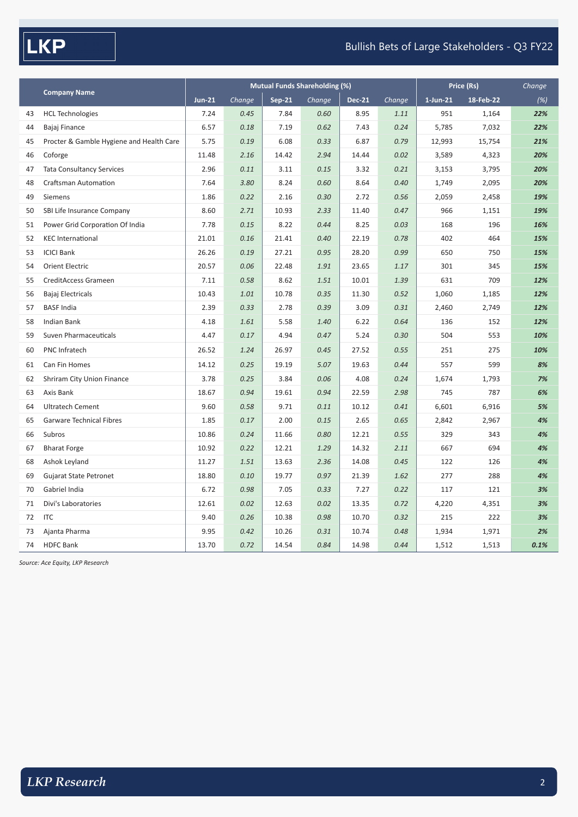# $\sqrt{\mathsf{LKP}}$

#### Bullish Bets of Large Stakeholders - Q3 FY22

|    |                                          |               |        | <b>Mutual Funds Shareholding (%)</b> | Price (Rs) |               | Change |             |           |      |
|----|------------------------------------------|---------------|--------|--------------------------------------|------------|---------------|--------|-------------|-----------|------|
|    | <b>Company Name</b>                      | <b>Jun-21</b> | Change | <b>Sep-21</b>                        | Change     | <b>Dec-21</b> | Change | $1$ -Jun-21 | 18-Feb-22 | (%)  |
| 43 | <b>HCL Technologies</b>                  | 7.24          | 0.45   | 7.84                                 | 0.60       | 8.95          | 1.11   | 951         | 1,164     | 22%  |
| 44 | Bajaj Finance                            | 6.57          | 0.18   | 7.19                                 | 0.62       | 7.43          | 0.24   | 5,785       | 7,032     | 22%  |
| 45 | Procter & Gamble Hygiene and Health Care | 5.75          | 0.19   | 6.08                                 | 0.33       | 6.87          | 0.79   | 12,993      | 15,754    | 21%  |
| 46 | Coforge                                  | 11.48         | 2.16   | 14.42                                | 2.94       | 14.44         | 0.02   | 3,589       | 4,323     | 20%  |
| 47 | <b>Tata Consultancy Services</b>         | 2.96          | 0.11   | 3.11                                 | 0.15       | 3.32          | 0.21   | 3,153       | 3,795     | 20%  |
| 48 | <b>Craftsman Automation</b>              | 7.64          | 3.80   | 8.24                                 | 0.60       | 8.64          | 0.40   | 1,749       | 2,095     | 20%  |
| 49 | Siemens                                  | 1.86          | 0.22   | 2.16                                 | 0.30       | 2.72          | 0.56   | 2,059       | 2,458     | 19%  |
| 50 | SBI Life Insurance Company               | 8.60          | 2.71   | 10.93                                | 2.33       | 11.40         | 0.47   | 966         | 1,151     | 19%  |
| 51 | Power Grid Corporation Of India          | 7.78          | 0.15   | 8.22                                 | 0.44       | 8.25          | 0.03   | 168         | 196       | 16%  |
| 52 | <b>KEC International</b>                 | 21.01         | 0.16   | 21.41                                | 0.40       | 22.19         | 0.78   | 402         | 464       | 15%  |
| 53 | <b>ICICI Bank</b>                        | 26.26         | 0.19   | 27.21                                | 0.95       | 28.20         | 0.99   | 650         | 750       | 15%  |
| 54 | <b>Orient Electric</b>                   | 20.57         | 0.06   | 22.48                                | 1.91       | 23.65         | 1.17   | 301         | 345       | 15%  |
| 55 | CreditAccess Grameen                     | 7.11          | 0.58   | 8.62                                 | 1.51       | 10.01         | 1.39   | 631         | 709       | 12%  |
| 56 | Bajaj Electricals                        | 10.43         | 1.01   | 10.78                                | 0.35       | 11.30         | 0.52   | 1,060       | 1,185     | 12%  |
| 57 | <b>BASF India</b>                        | 2.39          | 0.33   | 2.78                                 | 0.39       | 3.09          | 0.31   | 2,460       | 2,749     | 12%  |
| 58 | <b>Indian Bank</b>                       | 4.18          | 1.61   | 5.58                                 | 1.40       | 6.22          | 0.64   | 136         | 152       | 12%  |
| 59 | Suven Pharmaceuticals                    | 4.47          | 0.17   | 4.94                                 | 0.47       | 5.24          | 0.30   | 504         | 553       | 10%  |
| 60 | PNC Infratech                            | 26.52         | 1.24   | 26.97                                | 0.45       | 27.52         | 0.55   | 251         | 275       | 10%  |
| 61 | Can Fin Homes                            | 14.12         | 0.25   | 19.19                                | 5.07       | 19.63         | 0.44   | 557         | 599       | 8%   |
| 62 | Shriram City Union Finance               | 3.78          | 0.25   | 3.84                                 | 0.06       | 4.08          | 0.24   | 1,674       | 1,793     | 7%   |
| 63 | Axis Bank                                | 18.67         | 0.94   | 19.61                                | 0.94       | 22.59         | 2.98   | 745         | 787       | 6%   |
| 64 | <b>Ultratech Cement</b>                  | 9.60          | 0.58   | 9.71                                 | 0.11       | 10.12         | 0.41   | 6,601       | 6,916     | 5%   |
| 65 | Garware Technical Fibres                 | 1.85          | 0.17   | 2.00                                 | 0.15       | 2.65          | 0.65   | 2,842       | 2,967     | 4%   |
| 66 | Subros                                   | 10.86         | 0.24   | 11.66                                | 0.80       | 12.21         | 0.55   | 329         | 343       | 4%   |
| 67 | <b>Bharat Forge</b>                      | 10.92         | 0.22   | 12.21                                | 1.29       | 14.32         | 2.11   | 667         | 694       | 4%   |
| 68 | Ashok Leyland                            | 11.27         | 1.51   | 13.63                                | 2.36       | 14.08         | 0.45   | 122         | 126       | 4%   |
| 69 | <b>Gujarat State Petronet</b>            | 18.80         | 0.10   | 19.77                                | 0.97       | 21.39         | 1.62   | 277         | 288       | 4%   |
| 70 | Gabriel India                            | 6.72          | 0.98   | 7.05                                 | 0.33       | 7.27          | 0.22   | 117         | 121       | 3%   |
| 71 | Divi's Laboratories                      | 12.61         | 0.02   | 12.63                                | 0.02       | 13.35         | 0.72   | 4,220       | 4,351     | 3%   |
| 72 | <b>ITC</b>                               | 9.40          | 0.26   | 10.38                                | 0.98       | 10.70         | 0.32   | 215         | 222       | 3%   |
| 73 | Ajanta Pharma                            | 9.95          | 0.42   | 10.26                                | 0.31       | 10.74         | 0.48   | 1,934       | 1,971     | 2%   |
| 74 | <b>HDFC Bank</b>                         | 13.70         | 0.72   | 14.54                                | 0.84       | 14.98         | 0.44   | 1,512       | 1,513     | 0.1% |

*Source: Ace Equity, LKP Research*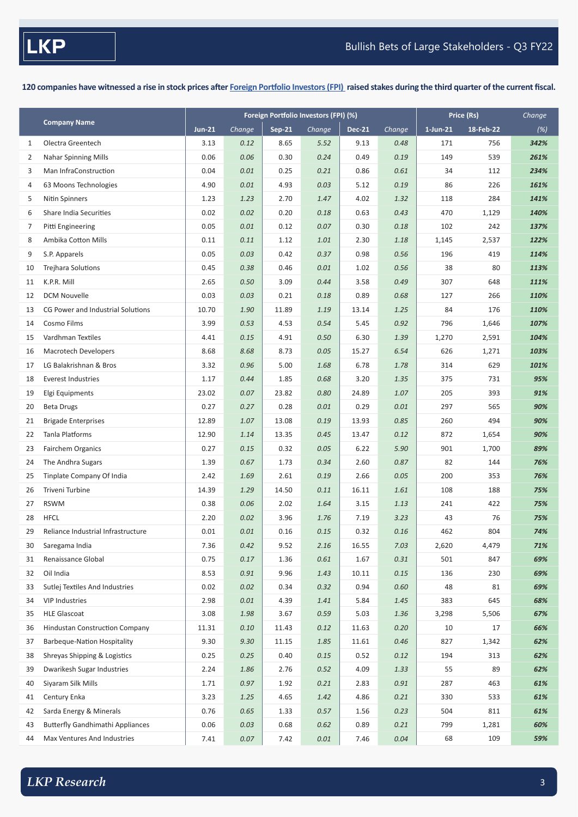**120 companies have witnessed a rise in stock prices after Foreign Portfolio Investors (FPI) raised stakes during the third quarter of the current fiscal.**

| $Sep-21$<br><b>Dec-21</b><br>$1$ -Jun-21<br>18-Feb-22<br><b>Jun-21</b><br>Change<br>Change<br>Change<br>(%)<br>Olectra Greentech<br>342%<br>3.13<br>0.12<br>8.65<br>5.52<br>9.13<br>0.48<br>171<br>756<br>1<br>0.06<br>0.30<br>149<br>539<br><b>Nahar Spinning Mills</b><br>0.06<br>0.24<br>0.49<br>0.19<br>261%<br>2<br>0.04<br>0.25<br>0.61<br>Man InfraConstruction<br>0.01<br>0.21<br>0.86<br>34<br>112<br>234%<br>3<br>4.93<br>0.03<br>0.19<br>86<br>63 Moons Technologies<br>4.90<br>0.01<br>5.12<br>226<br>161%<br>4<br>2.70<br>118<br>284<br>5<br>Nitin Spinners<br>1.23<br>1.23<br>1.47<br>4.02<br>1.32<br>141%<br>470<br>Share India Securities<br>0.02<br>0.02<br>0.20<br>0.18<br>0.63<br>0.43<br>1,129<br>140%<br>6<br>0.05<br>0.12<br>0.07<br>0.18<br>102<br>242<br>137%<br>Pitti Engineering<br>0.01<br>0.30<br>7<br>Ambika Cotton Mills<br>0.11<br>0.11<br>1.12<br>1.01<br>2.30<br>1.18<br>1,145<br>2,537<br>122%<br>8<br>9<br>0.05<br>0.03<br>0.42<br>0.37<br>0.98<br>0.56<br>196<br>419<br>S.P. Apparels<br>114%<br>38<br><b>Trejhara Solutions</b><br>0.45<br>0.38<br>0.46<br>0.01<br>1.02<br>0.56<br>80<br>113%<br>10<br>3.09<br>0.49<br>307<br>K.P.R. Mill<br>2.65<br>0.50<br>0.44<br>3.58<br>648<br>111%<br>11<br>0.68<br>127<br><b>DCM Nouvelle</b><br>0.03<br>0.03<br>0.21<br>0.18<br>0.89<br>266<br>110%<br>12<br>84<br>176<br>CG Power and Industrial Solutions<br>10.70<br>1.90<br>11.89<br>1.19<br>13.14<br>1.25<br>110%<br>13<br>Cosmo Films<br>3.99<br>4.53<br>0.54<br>0.92<br>796<br>107%<br>14<br>0.53<br>5.45<br>1,646<br>4.91<br>Vardhman Textiles<br>4.41<br>0.15<br>0.50<br>6.30<br>1.39<br>1,270<br>2,591<br>104%<br>15<br>8.73<br>6.54<br><b>Macrotech Developers</b><br>8.68<br>8.68<br>0.05<br>15.27<br>626<br>1,271<br>103%<br>16<br>LG Balakrishnan & Bros<br>5.00<br>314<br>629<br>3.32<br>0.96<br>1.68<br>6.78<br>1.78<br>101%<br>17<br>1.85<br>375<br>731<br>95%<br><b>Everest Industries</b><br>1.17<br>0.44<br>0.68<br>3.20<br>1.35<br>18<br>205<br>393<br>Elgi Equipments<br>23.02<br>0.07<br>23.82<br>0.80<br>24.89<br>1.07<br>91%<br>19<br>0.27<br>0.28<br>0.01<br>297<br>90%<br><b>Beta Drugs</b><br>0.27<br>0.01<br>0.29<br>565<br>20<br>0.85<br>494<br>90%<br><b>Brigade Enterprises</b><br>12.89<br>1.07<br>13.08<br>0.19<br>13.93<br>260<br>21<br>Tanla Platforms<br>0.12<br>872<br>90%<br>12.90<br>1.14<br>13.35<br>0.45<br>13.47<br>1,654<br>22<br>0.32<br>901<br>89%<br><b>Fairchem Organics</b><br>0.27<br>0.15<br>0.05<br>6.22<br>5.90<br>1,700<br>23<br>1.39<br>1.73<br>0.34<br>0.87<br>82<br>The Andhra Sugars<br>0.67<br>2.60<br>144<br>76%<br>24<br>0.05<br>200<br>Tinplate Company Of India<br>2.42<br>1.69<br>2.61<br>0.19<br>2.66<br>353<br>76%<br>25<br>14.50<br>1.61<br>108<br>26<br>Triveni Turbine<br>14.39<br>1.29<br>0.11<br>16.11<br>188<br>75%<br><b>RSWM</b><br>0.38<br>0.06<br>2.02<br>1.64<br>3.15<br>1.13<br>241<br>422<br>75%<br>27<br>3.96<br>75%<br><b>HFCL</b><br>2.20<br>0.02<br>1.76<br>7.19<br>3.23<br>43<br>76<br>28<br>0.01<br>804<br>29<br>Reliance Industrial Infrastructure<br>0.01<br>0.16<br>0.15<br>0.32<br>0.16<br>462<br>74%<br>0.42<br>9.52<br>16.55<br>7.03<br>2,620<br>4,479<br>71%<br>7.36<br>2.16<br>Saregama India<br>30<br>501<br>847<br>69%<br>Renaissance Global<br>0.75<br>0.17<br>1.36<br>0.61<br>1.67<br>0.31<br>31<br>9.96<br>136<br>Oil India<br>8.53<br>0.91<br>1.43<br>10.11<br>0.15<br>230<br>69%<br>32<br>0.94<br>0.60<br>48<br>69%<br>Sutlej Textiles And Industries<br>0.02<br>0.02<br>0.34<br>0.32<br>81<br>33 |                     | Foreign Portfolio Investors (FPI) (%)<br>Price (Rs) |  |  |  |  | Change |  |
|------------------------------------------------------------------------------------------------------------------------------------------------------------------------------------------------------------------------------------------------------------------------------------------------------------------------------------------------------------------------------------------------------------------------------------------------------------------------------------------------------------------------------------------------------------------------------------------------------------------------------------------------------------------------------------------------------------------------------------------------------------------------------------------------------------------------------------------------------------------------------------------------------------------------------------------------------------------------------------------------------------------------------------------------------------------------------------------------------------------------------------------------------------------------------------------------------------------------------------------------------------------------------------------------------------------------------------------------------------------------------------------------------------------------------------------------------------------------------------------------------------------------------------------------------------------------------------------------------------------------------------------------------------------------------------------------------------------------------------------------------------------------------------------------------------------------------------------------------------------------------------------------------------------------------------------------------------------------------------------------------------------------------------------------------------------------------------------------------------------------------------------------------------------------------------------------------------------------------------------------------------------------------------------------------------------------------------------------------------------------------------------------------------------------------------------------------------------------------------------------------------------------------------------------------------------------------------------------------------------------------------------------------------------------------------------------------------------------------------------------------------------------------------------------------------------------------------------------------------------------------------------------------------------------------------------------------------------------------------------------------------------------------------------------------------------------------------------------------------------------------------------------------------------------------------------------------------------------------------------------------------------------------------------------------------------------------------------------------------------------------------------------------------------------------------------------------------------------------------------------------------------------------------|---------------------|-----------------------------------------------------|--|--|--|--|--------|--|
|                                                                                                                                                                                                                                                                                                                                                                                                                                                                                                                                                                                                                                                                                                                                                                                                                                                                                                                                                                                                                                                                                                                                                                                                                                                                                                                                                                                                                                                                                                                                                                                                                                                                                                                                                                                                                                                                                                                                                                                                                                                                                                                                                                                                                                                                                                                                                                                                                                                                                                                                                                                                                                                                                                                                                                                                                                                                                                                                                                                                                                                                                                                                                                                                                                                                                                                                                                                                                                                                                                                                    | <b>Company Name</b> |                                                     |  |  |  |  |        |  |
|                                                                                                                                                                                                                                                                                                                                                                                                                                                                                                                                                                                                                                                                                                                                                                                                                                                                                                                                                                                                                                                                                                                                                                                                                                                                                                                                                                                                                                                                                                                                                                                                                                                                                                                                                                                                                                                                                                                                                                                                                                                                                                                                                                                                                                                                                                                                                                                                                                                                                                                                                                                                                                                                                                                                                                                                                                                                                                                                                                                                                                                                                                                                                                                                                                                                                                                                                                                                                                                                                                                                    |                     |                                                     |  |  |  |  |        |  |
|                                                                                                                                                                                                                                                                                                                                                                                                                                                                                                                                                                                                                                                                                                                                                                                                                                                                                                                                                                                                                                                                                                                                                                                                                                                                                                                                                                                                                                                                                                                                                                                                                                                                                                                                                                                                                                                                                                                                                                                                                                                                                                                                                                                                                                                                                                                                                                                                                                                                                                                                                                                                                                                                                                                                                                                                                                                                                                                                                                                                                                                                                                                                                                                                                                                                                                                                                                                                                                                                                                                                    |                     |                                                     |  |  |  |  |        |  |
|                                                                                                                                                                                                                                                                                                                                                                                                                                                                                                                                                                                                                                                                                                                                                                                                                                                                                                                                                                                                                                                                                                                                                                                                                                                                                                                                                                                                                                                                                                                                                                                                                                                                                                                                                                                                                                                                                                                                                                                                                                                                                                                                                                                                                                                                                                                                                                                                                                                                                                                                                                                                                                                                                                                                                                                                                                                                                                                                                                                                                                                                                                                                                                                                                                                                                                                                                                                                                                                                                                                                    |                     |                                                     |  |  |  |  |        |  |
|                                                                                                                                                                                                                                                                                                                                                                                                                                                                                                                                                                                                                                                                                                                                                                                                                                                                                                                                                                                                                                                                                                                                                                                                                                                                                                                                                                                                                                                                                                                                                                                                                                                                                                                                                                                                                                                                                                                                                                                                                                                                                                                                                                                                                                                                                                                                                                                                                                                                                                                                                                                                                                                                                                                                                                                                                                                                                                                                                                                                                                                                                                                                                                                                                                                                                                                                                                                                                                                                                                                                    |                     |                                                     |  |  |  |  |        |  |
|                                                                                                                                                                                                                                                                                                                                                                                                                                                                                                                                                                                                                                                                                                                                                                                                                                                                                                                                                                                                                                                                                                                                                                                                                                                                                                                                                                                                                                                                                                                                                                                                                                                                                                                                                                                                                                                                                                                                                                                                                                                                                                                                                                                                                                                                                                                                                                                                                                                                                                                                                                                                                                                                                                                                                                                                                                                                                                                                                                                                                                                                                                                                                                                                                                                                                                                                                                                                                                                                                                                                    |                     |                                                     |  |  |  |  |        |  |
|                                                                                                                                                                                                                                                                                                                                                                                                                                                                                                                                                                                                                                                                                                                                                                                                                                                                                                                                                                                                                                                                                                                                                                                                                                                                                                                                                                                                                                                                                                                                                                                                                                                                                                                                                                                                                                                                                                                                                                                                                                                                                                                                                                                                                                                                                                                                                                                                                                                                                                                                                                                                                                                                                                                                                                                                                                                                                                                                                                                                                                                                                                                                                                                                                                                                                                                                                                                                                                                                                                                                    |                     |                                                     |  |  |  |  |        |  |
|                                                                                                                                                                                                                                                                                                                                                                                                                                                                                                                                                                                                                                                                                                                                                                                                                                                                                                                                                                                                                                                                                                                                                                                                                                                                                                                                                                                                                                                                                                                                                                                                                                                                                                                                                                                                                                                                                                                                                                                                                                                                                                                                                                                                                                                                                                                                                                                                                                                                                                                                                                                                                                                                                                                                                                                                                                                                                                                                                                                                                                                                                                                                                                                                                                                                                                                                                                                                                                                                                                                                    |                     |                                                     |  |  |  |  |        |  |
|                                                                                                                                                                                                                                                                                                                                                                                                                                                                                                                                                                                                                                                                                                                                                                                                                                                                                                                                                                                                                                                                                                                                                                                                                                                                                                                                                                                                                                                                                                                                                                                                                                                                                                                                                                                                                                                                                                                                                                                                                                                                                                                                                                                                                                                                                                                                                                                                                                                                                                                                                                                                                                                                                                                                                                                                                                                                                                                                                                                                                                                                                                                                                                                                                                                                                                                                                                                                                                                                                                                                    |                     |                                                     |  |  |  |  |        |  |
|                                                                                                                                                                                                                                                                                                                                                                                                                                                                                                                                                                                                                                                                                                                                                                                                                                                                                                                                                                                                                                                                                                                                                                                                                                                                                                                                                                                                                                                                                                                                                                                                                                                                                                                                                                                                                                                                                                                                                                                                                                                                                                                                                                                                                                                                                                                                                                                                                                                                                                                                                                                                                                                                                                                                                                                                                                                                                                                                                                                                                                                                                                                                                                                                                                                                                                                                                                                                                                                                                                                                    |                     |                                                     |  |  |  |  |        |  |
|                                                                                                                                                                                                                                                                                                                                                                                                                                                                                                                                                                                                                                                                                                                                                                                                                                                                                                                                                                                                                                                                                                                                                                                                                                                                                                                                                                                                                                                                                                                                                                                                                                                                                                                                                                                                                                                                                                                                                                                                                                                                                                                                                                                                                                                                                                                                                                                                                                                                                                                                                                                                                                                                                                                                                                                                                                                                                                                                                                                                                                                                                                                                                                                                                                                                                                                                                                                                                                                                                                                                    |                     |                                                     |  |  |  |  |        |  |
|                                                                                                                                                                                                                                                                                                                                                                                                                                                                                                                                                                                                                                                                                                                                                                                                                                                                                                                                                                                                                                                                                                                                                                                                                                                                                                                                                                                                                                                                                                                                                                                                                                                                                                                                                                                                                                                                                                                                                                                                                                                                                                                                                                                                                                                                                                                                                                                                                                                                                                                                                                                                                                                                                                                                                                                                                                                                                                                                                                                                                                                                                                                                                                                                                                                                                                                                                                                                                                                                                                                                    |                     |                                                     |  |  |  |  |        |  |
|                                                                                                                                                                                                                                                                                                                                                                                                                                                                                                                                                                                                                                                                                                                                                                                                                                                                                                                                                                                                                                                                                                                                                                                                                                                                                                                                                                                                                                                                                                                                                                                                                                                                                                                                                                                                                                                                                                                                                                                                                                                                                                                                                                                                                                                                                                                                                                                                                                                                                                                                                                                                                                                                                                                                                                                                                                                                                                                                                                                                                                                                                                                                                                                                                                                                                                                                                                                                                                                                                                                                    |                     |                                                     |  |  |  |  |        |  |
|                                                                                                                                                                                                                                                                                                                                                                                                                                                                                                                                                                                                                                                                                                                                                                                                                                                                                                                                                                                                                                                                                                                                                                                                                                                                                                                                                                                                                                                                                                                                                                                                                                                                                                                                                                                                                                                                                                                                                                                                                                                                                                                                                                                                                                                                                                                                                                                                                                                                                                                                                                                                                                                                                                                                                                                                                                                                                                                                                                                                                                                                                                                                                                                                                                                                                                                                                                                                                                                                                                                                    |                     |                                                     |  |  |  |  |        |  |
|                                                                                                                                                                                                                                                                                                                                                                                                                                                                                                                                                                                                                                                                                                                                                                                                                                                                                                                                                                                                                                                                                                                                                                                                                                                                                                                                                                                                                                                                                                                                                                                                                                                                                                                                                                                                                                                                                                                                                                                                                                                                                                                                                                                                                                                                                                                                                                                                                                                                                                                                                                                                                                                                                                                                                                                                                                                                                                                                                                                                                                                                                                                                                                                                                                                                                                                                                                                                                                                                                                                                    |                     |                                                     |  |  |  |  |        |  |
|                                                                                                                                                                                                                                                                                                                                                                                                                                                                                                                                                                                                                                                                                                                                                                                                                                                                                                                                                                                                                                                                                                                                                                                                                                                                                                                                                                                                                                                                                                                                                                                                                                                                                                                                                                                                                                                                                                                                                                                                                                                                                                                                                                                                                                                                                                                                                                                                                                                                                                                                                                                                                                                                                                                                                                                                                                                                                                                                                                                                                                                                                                                                                                                                                                                                                                                                                                                                                                                                                                                                    |                     |                                                     |  |  |  |  |        |  |
|                                                                                                                                                                                                                                                                                                                                                                                                                                                                                                                                                                                                                                                                                                                                                                                                                                                                                                                                                                                                                                                                                                                                                                                                                                                                                                                                                                                                                                                                                                                                                                                                                                                                                                                                                                                                                                                                                                                                                                                                                                                                                                                                                                                                                                                                                                                                                                                                                                                                                                                                                                                                                                                                                                                                                                                                                                                                                                                                                                                                                                                                                                                                                                                                                                                                                                                                                                                                                                                                                                                                    |                     |                                                     |  |  |  |  |        |  |
|                                                                                                                                                                                                                                                                                                                                                                                                                                                                                                                                                                                                                                                                                                                                                                                                                                                                                                                                                                                                                                                                                                                                                                                                                                                                                                                                                                                                                                                                                                                                                                                                                                                                                                                                                                                                                                                                                                                                                                                                                                                                                                                                                                                                                                                                                                                                                                                                                                                                                                                                                                                                                                                                                                                                                                                                                                                                                                                                                                                                                                                                                                                                                                                                                                                                                                                                                                                                                                                                                                                                    |                     |                                                     |  |  |  |  |        |  |
|                                                                                                                                                                                                                                                                                                                                                                                                                                                                                                                                                                                                                                                                                                                                                                                                                                                                                                                                                                                                                                                                                                                                                                                                                                                                                                                                                                                                                                                                                                                                                                                                                                                                                                                                                                                                                                                                                                                                                                                                                                                                                                                                                                                                                                                                                                                                                                                                                                                                                                                                                                                                                                                                                                                                                                                                                                                                                                                                                                                                                                                                                                                                                                                                                                                                                                                                                                                                                                                                                                                                    |                     |                                                     |  |  |  |  |        |  |
|                                                                                                                                                                                                                                                                                                                                                                                                                                                                                                                                                                                                                                                                                                                                                                                                                                                                                                                                                                                                                                                                                                                                                                                                                                                                                                                                                                                                                                                                                                                                                                                                                                                                                                                                                                                                                                                                                                                                                                                                                                                                                                                                                                                                                                                                                                                                                                                                                                                                                                                                                                                                                                                                                                                                                                                                                                                                                                                                                                                                                                                                                                                                                                                                                                                                                                                                                                                                                                                                                                                                    |                     |                                                     |  |  |  |  |        |  |
|                                                                                                                                                                                                                                                                                                                                                                                                                                                                                                                                                                                                                                                                                                                                                                                                                                                                                                                                                                                                                                                                                                                                                                                                                                                                                                                                                                                                                                                                                                                                                                                                                                                                                                                                                                                                                                                                                                                                                                                                                                                                                                                                                                                                                                                                                                                                                                                                                                                                                                                                                                                                                                                                                                                                                                                                                                                                                                                                                                                                                                                                                                                                                                                                                                                                                                                                                                                                                                                                                                                                    |                     |                                                     |  |  |  |  |        |  |
|                                                                                                                                                                                                                                                                                                                                                                                                                                                                                                                                                                                                                                                                                                                                                                                                                                                                                                                                                                                                                                                                                                                                                                                                                                                                                                                                                                                                                                                                                                                                                                                                                                                                                                                                                                                                                                                                                                                                                                                                                                                                                                                                                                                                                                                                                                                                                                                                                                                                                                                                                                                                                                                                                                                                                                                                                                                                                                                                                                                                                                                                                                                                                                                                                                                                                                                                                                                                                                                                                                                                    |                     |                                                     |  |  |  |  |        |  |
|                                                                                                                                                                                                                                                                                                                                                                                                                                                                                                                                                                                                                                                                                                                                                                                                                                                                                                                                                                                                                                                                                                                                                                                                                                                                                                                                                                                                                                                                                                                                                                                                                                                                                                                                                                                                                                                                                                                                                                                                                                                                                                                                                                                                                                                                                                                                                                                                                                                                                                                                                                                                                                                                                                                                                                                                                                                                                                                                                                                                                                                                                                                                                                                                                                                                                                                                                                                                                                                                                                                                    |                     |                                                     |  |  |  |  |        |  |
|                                                                                                                                                                                                                                                                                                                                                                                                                                                                                                                                                                                                                                                                                                                                                                                                                                                                                                                                                                                                                                                                                                                                                                                                                                                                                                                                                                                                                                                                                                                                                                                                                                                                                                                                                                                                                                                                                                                                                                                                                                                                                                                                                                                                                                                                                                                                                                                                                                                                                                                                                                                                                                                                                                                                                                                                                                                                                                                                                                                                                                                                                                                                                                                                                                                                                                                                                                                                                                                                                                                                    |                     |                                                     |  |  |  |  |        |  |
|                                                                                                                                                                                                                                                                                                                                                                                                                                                                                                                                                                                                                                                                                                                                                                                                                                                                                                                                                                                                                                                                                                                                                                                                                                                                                                                                                                                                                                                                                                                                                                                                                                                                                                                                                                                                                                                                                                                                                                                                                                                                                                                                                                                                                                                                                                                                                                                                                                                                                                                                                                                                                                                                                                                                                                                                                                                                                                                                                                                                                                                                                                                                                                                                                                                                                                                                                                                                                                                                                                                                    |                     |                                                     |  |  |  |  |        |  |
|                                                                                                                                                                                                                                                                                                                                                                                                                                                                                                                                                                                                                                                                                                                                                                                                                                                                                                                                                                                                                                                                                                                                                                                                                                                                                                                                                                                                                                                                                                                                                                                                                                                                                                                                                                                                                                                                                                                                                                                                                                                                                                                                                                                                                                                                                                                                                                                                                                                                                                                                                                                                                                                                                                                                                                                                                                                                                                                                                                                                                                                                                                                                                                                                                                                                                                                                                                                                                                                                                                                                    |                     |                                                     |  |  |  |  |        |  |
|                                                                                                                                                                                                                                                                                                                                                                                                                                                                                                                                                                                                                                                                                                                                                                                                                                                                                                                                                                                                                                                                                                                                                                                                                                                                                                                                                                                                                                                                                                                                                                                                                                                                                                                                                                                                                                                                                                                                                                                                                                                                                                                                                                                                                                                                                                                                                                                                                                                                                                                                                                                                                                                                                                                                                                                                                                                                                                                                                                                                                                                                                                                                                                                                                                                                                                                                                                                                                                                                                                                                    |                     |                                                     |  |  |  |  |        |  |
|                                                                                                                                                                                                                                                                                                                                                                                                                                                                                                                                                                                                                                                                                                                                                                                                                                                                                                                                                                                                                                                                                                                                                                                                                                                                                                                                                                                                                                                                                                                                                                                                                                                                                                                                                                                                                                                                                                                                                                                                                                                                                                                                                                                                                                                                                                                                                                                                                                                                                                                                                                                                                                                                                                                                                                                                                                                                                                                                                                                                                                                                                                                                                                                                                                                                                                                                                                                                                                                                                                                                    |                     |                                                     |  |  |  |  |        |  |
|                                                                                                                                                                                                                                                                                                                                                                                                                                                                                                                                                                                                                                                                                                                                                                                                                                                                                                                                                                                                                                                                                                                                                                                                                                                                                                                                                                                                                                                                                                                                                                                                                                                                                                                                                                                                                                                                                                                                                                                                                                                                                                                                                                                                                                                                                                                                                                                                                                                                                                                                                                                                                                                                                                                                                                                                                                                                                                                                                                                                                                                                                                                                                                                                                                                                                                                                                                                                                                                                                                                                    |                     |                                                     |  |  |  |  |        |  |
|                                                                                                                                                                                                                                                                                                                                                                                                                                                                                                                                                                                                                                                                                                                                                                                                                                                                                                                                                                                                                                                                                                                                                                                                                                                                                                                                                                                                                                                                                                                                                                                                                                                                                                                                                                                                                                                                                                                                                                                                                                                                                                                                                                                                                                                                                                                                                                                                                                                                                                                                                                                                                                                                                                                                                                                                                                                                                                                                                                                                                                                                                                                                                                                                                                                                                                                                                                                                                                                                                                                                    |                     |                                                     |  |  |  |  |        |  |
|                                                                                                                                                                                                                                                                                                                                                                                                                                                                                                                                                                                                                                                                                                                                                                                                                                                                                                                                                                                                                                                                                                                                                                                                                                                                                                                                                                                                                                                                                                                                                                                                                                                                                                                                                                                                                                                                                                                                                                                                                                                                                                                                                                                                                                                                                                                                                                                                                                                                                                                                                                                                                                                                                                                                                                                                                                                                                                                                                                                                                                                                                                                                                                                                                                                                                                                                                                                                                                                                                                                                    |                     |                                                     |  |  |  |  |        |  |
|                                                                                                                                                                                                                                                                                                                                                                                                                                                                                                                                                                                                                                                                                                                                                                                                                                                                                                                                                                                                                                                                                                                                                                                                                                                                                                                                                                                                                                                                                                                                                                                                                                                                                                                                                                                                                                                                                                                                                                                                                                                                                                                                                                                                                                                                                                                                                                                                                                                                                                                                                                                                                                                                                                                                                                                                                                                                                                                                                                                                                                                                                                                                                                                                                                                                                                                                                                                                                                                                                                                                    |                     |                                                     |  |  |  |  |        |  |
|                                                                                                                                                                                                                                                                                                                                                                                                                                                                                                                                                                                                                                                                                                                                                                                                                                                                                                                                                                                                                                                                                                                                                                                                                                                                                                                                                                                                                                                                                                                                                                                                                                                                                                                                                                                                                                                                                                                                                                                                                                                                                                                                                                                                                                                                                                                                                                                                                                                                                                                                                                                                                                                                                                                                                                                                                                                                                                                                                                                                                                                                                                                                                                                                                                                                                                                                                                                                                                                                                                                                    |                     |                                                     |  |  |  |  |        |  |
|                                                                                                                                                                                                                                                                                                                                                                                                                                                                                                                                                                                                                                                                                                                                                                                                                                                                                                                                                                                                                                                                                                                                                                                                                                                                                                                                                                                                                                                                                                                                                                                                                                                                                                                                                                                                                                                                                                                                                                                                                                                                                                                                                                                                                                                                                                                                                                                                                                                                                                                                                                                                                                                                                                                                                                                                                                                                                                                                                                                                                                                                                                                                                                                                                                                                                                                                                                                                                                                                                                                                    |                     |                                                     |  |  |  |  |        |  |
| 383<br><b>VIP Industries</b><br>2.98<br>0.01<br>4.39<br>5.84<br>1.45<br>645<br>68%<br>34<br>1.41                                                                                                                                                                                                                                                                                                                                                                                                                                                                                                                                                                                                                                                                                                                                                                                                                                                                                                                                                                                                                                                                                                                                                                                                                                                                                                                                                                                                                                                                                                                                                                                                                                                                                                                                                                                                                                                                                                                                                                                                                                                                                                                                                                                                                                                                                                                                                                                                                                                                                                                                                                                                                                                                                                                                                                                                                                                                                                                                                                                                                                                                                                                                                                                                                                                                                                                                                                                                                                   |                     |                                                     |  |  |  |  |        |  |
| <b>HLE Glascoat</b><br>3.08<br>1.98<br>3.67<br>0.59<br>5.03<br>1.36<br>3,298<br>5,506<br>67%<br>35                                                                                                                                                                                                                                                                                                                                                                                                                                                                                                                                                                                                                                                                                                                                                                                                                                                                                                                                                                                                                                                                                                                                                                                                                                                                                                                                                                                                                                                                                                                                                                                                                                                                                                                                                                                                                                                                                                                                                                                                                                                                                                                                                                                                                                                                                                                                                                                                                                                                                                                                                                                                                                                                                                                                                                                                                                                                                                                                                                                                                                                                                                                                                                                                                                                                                                                                                                                                                                 |                     |                                                     |  |  |  |  |        |  |
| 66%<br><b>Hindustan Construction Company</b><br>11.31<br>0.10<br>11.43<br>0.12<br>11.63<br>0.20<br>10<br>17<br>36                                                                                                                                                                                                                                                                                                                                                                                                                                                                                                                                                                                                                                                                                                                                                                                                                                                                                                                                                                                                                                                                                                                                                                                                                                                                                                                                                                                                                                                                                                                                                                                                                                                                                                                                                                                                                                                                                                                                                                                                                                                                                                                                                                                                                                                                                                                                                                                                                                                                                                                                                                                                                                                                                                                                                                                                                                                                                                                                                                                                                                                                                                                                                                                                                                                                                                                                                                                                                  |                     |                                                     |  |  |  |  |        |  |
| <b>Barbeque-Nation Hospitality</b><br>9.30<br>9.30<br>11.15<br>1.85<br>0.46<br>827<br>1,342<br>62%<br>37<br>11.61                                                                                                                                                                                                                                                                                                                                                                                                                                                                                                                                                                                                                                                                                                                                                                                                                                                                                                                                                                                                                                                                                                                                                                                                                                                                                                                                                                                                                                                                                                                                                                                                                                                                                                                                                                                                                                                                                                                                                                                                                                                                                                                                                                                                                                                                                                                                                                                                                                                                                                                                                                                                                                                                                                                                                                                                                                                                                                                                                                                                                                                                                                                                                                                                                                                                                                                                                                                                                  |                     |                                                     |  |  |  |  |        |  |
| 0.40<br>38<br>Shreyas Shipping & Logistics<br>0.25<br>0.25<br>0.15<br>0.52<br>0.12<br>194<br>313<br>62%                                                                                                                                                                                                                                                                                                                                                                                                                                                                                                                                                                                                                                                                                                                                                                                                                                                                                                                                                                                                                                                                                                                                                                                                                                                                                                                                                                                                                                                                                                                                                                                                                                                                                                                                                                                                                                                                                                                                                                                                                                                                                                                                                                                                                                                                                                                                                                                                                                                                                                                                                                                                                                                                                                                                                                                                                                                                                                                                                                                                                                                                                                                                                                                                                                                                                                                                                                                                                            |                     |                                                     |  |  |  |  |        |  |
| 55<br>Dwarikesh Sugar Industries<br>2.24<br>2.76<br>0.52<br>4.09<br>1.33<br>89<br>62%<br>39<br>1.86                                                                                                                                                                                                                                                                                                                                                                                                                                                                                                                                                                                                                                                                                                                                                                                                                                                                                                                                                                                                                                                                                                                                                                                                                                                                                                                                                                                                                                                                                                                                                                                                                                                                                                                                                                                                                                                                                                                                                                                                                                                                                                                                                                                                                                                                                                                                                                                                                                                                                                                                                                                                                                                                                                                                                                                                                                                                                                                                                                                                                                                                                                                                                                                                                                                                                                                                                                                                                                |                     |                                                     |  |  |  |  |        |  |
| Siyaram Silk Mills<br>1.71<br>0.97<br>1.92<br>0.21<br>2.83<br>0.91<br>287<br>463<br>61%<br>40                                                                                                                                                                                                                                                                                                                                                                                                                                                                                                                                                                                                                                                                                                                                                                                                                                                                                                                                                                                                                                                                                                                                                                                                                                                                                                                                                                                                                                                                                                                                                                                                                                                                                                                                                                                                                                                                                                                                                                                                                                                                                                                                                                                                                                                                                                                                                                                                                                                                                                                                                                                                                                                                                                                                                                                                                                                                                                                                                                                                                                                                                                                                                                                                                                                                                                                                                                                                                                      |                     |                                                     |  |  |  |  |        |  |
| Century Enka<br>3.23<br>4.65<br>4.86<br>0.21<br>330<br>533<br>61%<br>41<br>1.25<br>1.42                                                                                                                                                                                                                                                                                                                                                                                                                                                                                                                                                                                                                                                                                                                                                                                                                                                                                                                                                                                                                                                                                                                                                                                                                                                                                                                                                                                                                                                                                                                                                                                                                                                                                                                                                                                                                                                                                                                                                                                                                                                                                                                                                                                                                                                                                                                                                                                                                                                                                                                                                                                                                                                                                                                                                                                                                                                                                                                                                                                                                                                                                                                                                                                                                                                                                                                                                                                                                                            |                     |                                                     |  |  |  |  |        |  |
| Sarda Energy & Minerals<br>0.76<br>0.65<br>1.33<br>0.57<br>0.23<br>504<br>811<br>61%<br>42<br>1.56                                                                                                                                                                                                                                                                                                                                                                                                                                                                                                                                                                                                                                                                                                                                                                                                                                                                                                                                                                                                                                                                                                                                                                                                                                                                                                                                                                                                                                                                                                                                                                                                                                                                                                                                                                                                                                                                                                                                                                                                                                                                                                                                                                                                                                                                                                                                                                                                                                                                                                                                                                                                                                                                                                                                                                                                                                                                                                                                                                                                                                                                                                                                                                                                                                                                                                                                                                                                                                 |                     |                                                     |  |  |  |  |        |  |
| 0.68<br><b>Butterfly Gandhimathi Appliances</b><br>0.06<br>0.03<br>0.62<br>0.89<br>0.21<br>799<br>1,281<br>60%<br>43                                                                                                                                                                                                                                                                                                                                                                                                                                                                                                                                                                                                                                                                                                                                                                                                                                                                                                                                                                                                                                                                                                                                                                                                                                                                                                                                                                                                                                                                                                                                                                                                                                                                                                                                                                                                                                                                                                                                                                                                                                                                                                                                                                                                                                                                                                                                                                                                                                                                                                                                                                                                                                                                                                                                                                                                                                                                                                                                                                                                                                                                                                                                                                                                                                                                                                                                                                                                               |                     |                                                     |  |  |  |  |        |  |
| 0.07<br>7.42<br>$0.01\,$<br>$0.04\,$<br>68<br>109<br>59%<br>Max Ventures And Industries<br>7.41<br>7.46<br>44                                                                                                                                                                                                                                                                                                                                                                                                                                                                                                                                                                                                                                                                                                                                                                                                                                                                                                                                                                                                                                                                                                                                                                                                                                                                                                                                                                                                                                                                                                                                                                                                                                                                                                                                                                                                                                                                                                                                                                                                                                                                                                                                                                                                                                                                                                                                                                                                                                                                                                                                                                                                                                                                                                                                                                                                                                                                                                                                                                                                                                                                                                                                                                                                                                                                                                                                                                                                                      |                     |                                                     |  |  |  |  |        |  |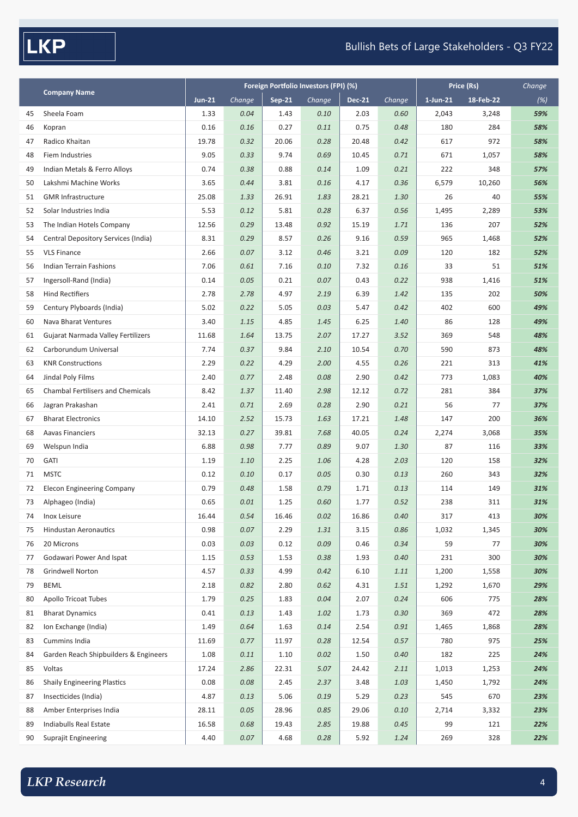**LKP** 

## Bullish Bets of Large Stakeholders - Q3 FY22

|    |                                          | Foreign Portfolio Investors (FPI) (%) |        |               |        |               |        | Price (Rs)  | Change    |     |
|----|------------------------------------------|---------------------------------------|--------|---------------|--------|---------------|--------|-------------|-----------|-----|
|    | <b>Company Name</b>                      | <b>Jun-21</b>                         | Change | <b>Sep-21</b> | Change | <b>Dec-21</b> | Change | $1$ -Jun-21 | 18-Feb-22 | (%) |
| 45 | Sheela Foam                              | 1.33                                  | 0.04   | 1.43          | 0.10   | 2.03          | 0.60   | 2,043       | 3,248     | 59% |
| 46 | Kopran                                   | 0.16                                  | 0.16   | 0.27          | 0.11   | 0.75          | 0.48   | 180         | 284       | 58% |
| 47 | Radico Khaitan                           | 19.78                                 | 0.32   | 20.06         | 0.28   | 20.48         | 0.42   | 617         | 972       | 58% |
| 48 | Fiem Industries                          | 9.05                                  | 0.33   | 9.74          | 0.69   | 10.45         | 0.71   | 671         | 1,057     | 58% |
| 49 | Indian Metals & Ferro Alloys             | 0.74                                  | 0.38   | 0.88          | 0.14   | 1.09          | 0.21   | 222         | 348       | 57% |
| 50 | Lakshmi Machine Works                    | 3.65                                  | 0.44   | 3.81          | 0.16   | 4.17          | 0.36   | 6,579       | 10,260    | 56% |
| 51 | <b>GMR Infrastructure</b>                | 25.08                                 | 1.33   | 26.91         | 1.83   | 28.21         | 1.30   | 26          | 40        | 55% |
| 52 | Solar Industries India                   | 5.53                                  | 0.12   | 5.81          | 0.28   | 6.37          | 0.56   | 1,495       | 2,289     | 53% |
| 53 | The Indian Hotels Company                | 12.56                                 | 0.29   | 13.48         | 0.92   | 15.19         | 1.71   | 136         | 207       | 52% |
| 54 | Central Depository Services (India)      | 8.31                                  | 0.29   | 8.57          | 0.26   | 9.16          | 0.59   | 965         | 1,468     | 52% |
| 55 | <b>VLS Finance</b>                       | 2.66                                  | 0.07   | 3.12          | 0.46   | 3.21          | 0.09   | 120         | 182       | 52% |
| 56 | <b>Indian Terrain Fashions</b>           | 7.06                                  | 0.61   | 7.16          | 0.10   | 7.32          | 0.16   | 33          | 51        | 51% |
| 57 | Ingersoll-Rand (India)                   | 0.14                                  | 0.05   | 0.21          | 0.07   | 0.43          | 0.22   | 938         | 1,416     | 51% |
| 58 | <b>Hind Rectifiers</b>                   | 2.78                                  | 2.78   | 4.97          | 2.19   | 6.39          | 1.42   | 135         | 202       | 50% |
| 59 | Century Plyboards (India)                | 5.02                                  | 0.22   | 5.05          | 0.03   | 5.47          | 0.42   | 402         | 600       | 49% |
| 60 | Nava Bharat Ventures                     | 3.40                                  | 1.15   | 4.85          | 1.45   | 6.25          | 1.40   | 86          | 128       | 49% |
| 61 | Gujarat Narmada Valley Fertilizers       | 11.68                                 | 1.64   | 13.75         | 2.07   | 17.27         | 3.52   | 369         | 548       | 48% |
| 62 | Carborundum Universal                    | 7.74                                  | 0.37   | 9.84          | 2.10   | 10.54         | 0.70   | 590         | 873       | 48% |
| 63 | <b>KNR Constructions</b>                 | 2.29                                  | 0.22   | 4.29          | 2.00   | 4.55          | 0.26   | 221         | 313       | 41% |
| 64 | Jindal Poly Films                        | 2.40                                  | 0.77   | 2.48          | 0.08   | 2.90          | 0.42   | 773         | 1,083     | 40% |
| 65 | <b>Chambal Fertilisers and Chemicals</b> | 8.42                                  | 1.37   | 11.40         | 2.98   | 12.12         | 0.72   | 281         | 384       | 37% |
| 66 | Jagran Prakashan                         | 2.41                                  | 0.71   | 2.69          | 0.28   | 2.90          | 0.21   | 56          | 77        | 37% |
| 67 | <b>Bharat Electronics</b>                | 14.10                                 | 2.52   | 15.73         | 1.63   | 17.21         | 1.48   | 147         | 200       | 36% |
| 68 | <b>Aavas Financiers</b>                  | 32.13                                 | 0.27   | 39.81         | 7.68   | 40.05         | 0.24   | 2,274       | 3,068     | 35% |
| 69 | Welspun India                            | 6.88                                  | 0.98   | 7.77          | 0.89   | 9.07          | 1.30   | 87          | 116       | 33% |
| 70 | GATI                                     | 1.19                                  | 1.10   | 2.25          | 1.06   | 4.28          | 2.03   | 120         | 158       | 32% |
| 71 | <b>MSTC</b>                              | 0.12                                  | 0.10   | 0.17          | 0.05   | 0.30          | 0.13   | 260         | 343       | 32% |
| 72 | <b>Elecon Engineering Company</b>        | 0.79                                  | 0.48   | 1.58          | 0.79   | 1.71          | 0.13   | 114         | 149       | 31% |
| 73 | Alphageo (India)                         | 0.65                                  | 0.01   | 1.25          | 0.60   | 1.77          | 0.52   | 238         | 311       | 31% |
| 74 | Inox Leisure                             | 16.44                                 | 0.54   | 16.46         | 0.02   | 16.86         | 0.40   | 317         | 413       | 30% |
| 75 | <b>Hindustan Aeronautics</b>             | 0.98                                  | 0.07   | 2.29          | 1.31   | 3.15          | 0.86   | 1,032       | 1,345     | 30% |
| 76 | 20 Microns                               | 0.03                                  | 0.03   | 0.12          | 0.09   | 0.46          | 0.34   | 59          | 77        | 30% |
| 77 | Godawari Power And Ispat                 | 1.15                                  | 0.53   | 1.53          | 0.38   | 1.93          | 0.40   | 231         | 300       | 30% |
| 78 | Grindwell Norton                         | 4.57                                  | 0.33   | 4.99          | 0.42   | 6.10          | 1.11   | 1,200       | 1,558     | 30% |
| 79 | <b>BEML</b>                              | 2.18                                  | 0.82   | 2.80          | 0.62   | 4.31          | 1.51   | 1,292       | 1,670     | 29% |
| 80 | <b>Apollo Tricoat Tubes</b>              | 1.79                                  | 0.25   | 1.83          | 0.04   | 2.07          | 0.24   | 606         | 775       | 28% |
| 81 | <b>Bharat Dynamics</b>                   | 0.41                                  | 0.13   | 1.43          | 1.02   | 1.73          | 0.30   | 369         | 472       | 28% |
| 82 | Ion Exchange (India)                     | 1.49                                  | 0.64   | 1.63          | 0.14   | 2.54          | 0.91   | 1,465       | 1,868     | 28% |
| 83 | Cummins India                            | 11.69                                 | 0.77   | 11.97         | 0.28   | 12.54         | 0.57   | 780         | 975       | 25% |
| 84 | Garden Reach Shipbuilders & Engineers    | 1.08                                  | 0.11   | 1.10          | 0.02   | 1.50          | 0.40   | 182         | 225       | 24% |
| 85 | Voltas                                   | 17.24                                 | 2.86   | 22.31         | 5.07   | 24.42         | 2.11   | 1,013       | 1,253     | 24% |
| 86 | <b>Shaily Engineering Plastics</b>       | 0.08                                  | 0.08   | 2.45          | 2.37   | 3.48          | 1.03   | 1,450       | 1,792     | 24% |
| 87 | Insecticides (India)                     | 4.87                                  | 0.13   | 5.06          | 0.19   | 5.29          | 0.23   | 545         | 670       | 23% |
| 88 | Amber Enterprises India                  | 28.11                                 | 0.05   | 28.96         | 0.85   | 29.06         | 0.10   | 2,714       | 3,332     | 23% |
| 89 | Indiabulls Real Estate                   | 16.58                                 | 0.68   | 19.43         | 2.85   | 19.88         | 0.45   | 99          | 121       | 22% |
| 90 | Suprajit Engineering                     | 4.40                                  | 0.07   | 4.68          | 0.28   | 5.92          | 1.24   | 269         | 328       | 22% |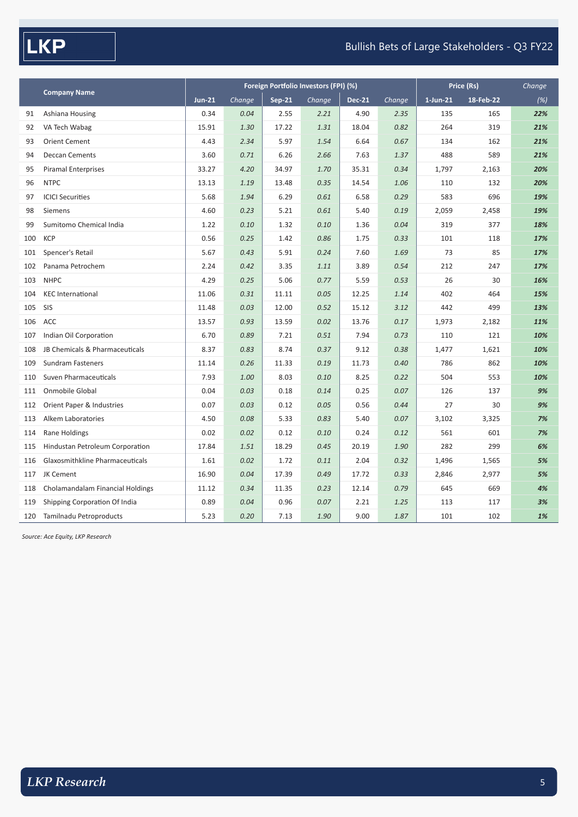$\sqrt{\mathsf{LKP}}$ 

## Bullish Bets of Large Stakeholders - Q3 FY22

|     |                                  |               |        | Foreign Portfolio Investors (FPI) (%) | Price (Rs) | Change        |        |             |           |     |
|-----|----------------------------------|---------------|--------|---------------------------------------|------------|---------------|--------|-------------|-----------|-----|
|     | <b>Company Name</b>              | <b>Jun-21</b> | Change | <b>Sep-21</b>                         | Change     | <b>Dec-21</b> | Change | $1$ -Jun-21 | 18-Feb-22 | (%) |
| 91  | Ashiana Housing                  | 0.34          | 0.04   | 2.55                                  | 2.21       | 4.90          | 2.35   | 135         | 165       | 22% |
| 92  | VA Tech Wabag                    | 15.91         | 1.30   | 17.22                                 | 1.31       | 18.04         | 0.82   | 264         | 319       | 21% |
| 93  | <b>Orient Cement</b>             | 4.43          | 2.34   | 5.97                                  | 1.54       | 6.64          | 0.67   | 134         | 162       | 21% |
| 94  | <b>Deccan Cements</b>            | 3.60          | 0.71   | 6.26                                  | 2.66       | 7.63          | 1.37   | 488         | 589       | 21% |
| 95  | <b>Piramal Enterprises</b>       | 33.27         | 4.20   | 34.97                                 | 1.70       | 35.31         | 0.34   | 1,797       | 2,163     | 20% |
| 96  | <b>NTPC</b>                      | 13.13         | 1.19   | 13.48                                 | 0.35       | 14.54         | 1.06   | 110         | 132       | 20% |
| 97  | <b>ICICI Securities</b>          | 5.68          | 1.94   | 6.29                                  | 0.61       | 6.58          | 0.29   | 583         | 696       | 19% |
| 98  | Siemens                          | 4.60          | 0.23   | 5.21                                  | 0.61       | 5.40          | 0.19   | 2,059       | 2,458     | 19% |
| 99  | Sumitomo Chemical India          | 1.22          | 0.10   | 1.32                                  | 0.10       | 1.36          | 0.04   | 319         | 377       | 18% |
| 100 | <b>KCP</b>                       | 0.56          | 0.25   | 1.42                                  | 0.86       | 1.75          | 0.33   | 101         | 118       | 17% |
| 101 | Spencer's Retail                 | 5.67          | 0.43   | 5.91                                  | 0.24       | 7.60          | 1.69   | 73          | 85        | 17% |
| 102 | Panama Petrochem                 | 2.24          | 0.42   | 3.35                                  | 1.11       | 3.89          | 0.54   | 212         | 247       | 17% |
| 103 | <b>NHPC</b>                      | 4.29          | 0.25   | 5.06                                  | 0.77       | 5.59          | 0.53   | 26          | 30        | 16% |
| 104 | <b>KEC</b> International         | 11.06         | 0.31   | 11.11                                 | 0.05       | 12.25         | 1.14   | 402         | 464       | 15% |
| 105 | SIS                              | 11.48         | 0.03   | 12.00                                 | 0.52       | 15.12         | 3.12   | 442         | 499       | 13% |
| 106 | ACC                              | 13.57         | 0.93   | 13.59                                 | 0.02       | 13.76         | 0.17   | 1,973       | 2,182     | 11% |
| 107 | Indian Oil Corporation           | 6.70          | 0.89   | 7.21                                  | 0.51       | 7.94          | 0.73   | 110         | 121       | 10% |
| 108 | JB Chemicals & Pharmaceuticals   | 8.37          | 0.83   | 8.74                                  | 0.37       | 9.12          | 0.38   | 1,477       | 1,621     | 10% |
| 109 | <b>Sundram Fasteners</b>         | 11.14         | 0.26   | 11.33                                 | 0.19       | 11.73         | 0.40   | 786         | 862       | 10% |
| 110 | Suven Pharmaceuticals            | 7.93          | 1.00   | 8.03                                  | 0.10       | 8.25          | 0.22   | 504         | 553       | 10% |
| 111 | Onmobile Global                  | 0.04          | 0.03   | 0.18                                  | 0.14       | 0.25          | 0.07   | 126         | 137       | 9%  |
| 112 | Orient Paper & Industries        | 0.07          | 0.03   | 0.12                                  | 0.05       | 0.56          | 0.44   | 27          | 30        | 9%  |
| 113 | Alkem Laboratories               | 4.50          | 0.08   | 5.33                                  | 0.83       | 5.40          | 0.07   | 3,102       | 3,325     | 7%  |
| 114 | Rane Holdings                    | 0.02          | 0.02   | 0.12                                  | 0.10       | 0.24          | 0.12   | 561         | 601       | 7%  |
| 115 | Hindustan Petroleum Corporation  | 17.84         | 1.51   | 18.29                                 | 0.45       | 20.19         | 1.90   | 282         | 299       | 6%  |
| 116 | Glaxosmithkline Pharmaceuticals  | 1.61          | 0.02   | 1.72                                  | 0.11       | 2.04          | 0.32   | 1,496       | 1,565     | 5%  |
| 117 | JK Cement                        | 16.90         | 0.04   | 17.39                                 | 0.49       | 17.72         | 0.33   | 2,846       | 2,977     | 5%  |
| 118 | Cholamandalam Financial Holdings | 11.12         | 0.34   | 11.35                                 | 0.23       | 12.14         | 0.79   | 645         | 669       | 4%  |
| 119 | Shipping Corporation Of India    | 0.89          | 0.04   | 0.96                                  | 0.07       | 2.21          | 1.25   | 113         | 117       | 3%  |
| 120 | Tamilnadu Petroproducts          | 5.23          | 0.20   | 7.13                                  | 1.90       | 9.00          | 1.87   | 101         | 102       | 1%  |

*Source: Ace Equity, LKP Research*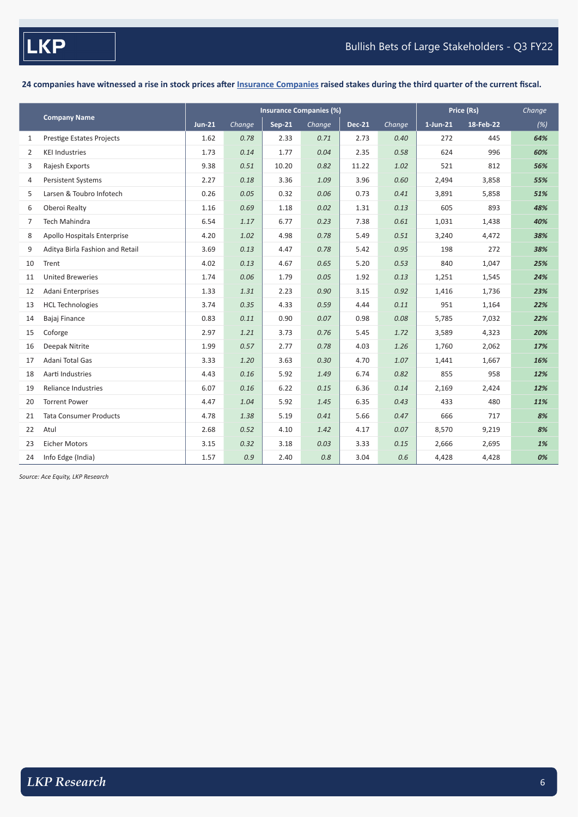**24 companies have witnessed a rise in stock prices after Insurance Companies raised stakes during the third quarter of the current fiscal.**

|                |                                  |               |        | <b>Insurance Companies (%)</b> | Price (Rs) | Change        |        |             |           |     |
|----------------|----------------------------------|---------------|--------|--------------------------------|------------|---------------|--------|-------------|-----------|-----|
|                | <b>Company Name</b>              | <b>Jun-21</b> | Change | <b>Sep-21</b>                  | Change     | <b>Dec-21</b> | Change | $1$ -Jun-21 | 18-Feb-22 | (%) |
| 1              | <b>Prestige Estates Projects</b> | 1.62          | 0.78   | 2.33                           | 0.71       | 2.73          | 0.40   | 272         | 445       | 64% |
| 2              | <b>KEI Industries</b>            | 1.73          | 0.14   | 1.77                           | 0.04       | 2.35          | 0.58   | 624         | 996       | 60% |
| 3              | Rajesh Exports                   | 9.38          | 0.51   | 10.20                          | 0.82       | 11.22         | 1.02   | 521         | 812       | 56% |
| 4              | Persistent Systems               | 2.27          | 0.18   | 3.36                           | 1.09       | 3.96          | 0.60   | 2,494       | 3,858     | 55% |
| 5              | Larsen & Toubro Infotech         | 0.26          | 0.05   | 0.32                           | 0.06       | 0.73          | 0.41   | 3,891       | 5,858     | 51% |
| 6              | Oberoi Realty                    | 1.16          | 0.69   | 1.18                           | 0.02       | 1.31          | 0.13   | 605         | 893       | 48% |
| $\overline{7}$ | <b>Tech Mahindra</b>             | 6.54          | 1.17   | 6.77                           | 0.23       | 7.38          | 0.61   | 1,031       | 1,438     | 40% |
| 8              | Apollo Hospitals Enterprise      | 4.20          | 1.02   | 4.98                           | 0.78       | 5.49          | 0.51   | 3,240       | 4,472     | 38% |
| 9              | Aditya Birla Fashion and Retail  | 3.69          | 0.13   | 4.47                           | 0.78       | 5.42          | 0.95   | 198         | 272       | 38% |
| 10             | Trent                            | 4.02          | 0.13   | 4.67                           | 0.65       | 5.20          | 0.53   | 840         | 1,047     | 25% |
| 11             | <b>United Breweries</b>          | 1.74          | 0.06   | 1.79                           | 0.05       | 1.92          | 0.13   | 1,251       | 1,545     | 24% |
| 12             | Adani Enterprises                | 1.33          | 1.31   | 2.23                           | 0.90       | 3.15          | 0.92   | 1,416       | 1,736     | 23% |
| 13             | <b>HCL Technologies</b>          | 3.74          | 0.35   | 4.33                           | 0.59       | 4.44          | 0.11   | 951         | 1,164     | 22% |
| 14             | Bajaj Finance                    | 0.83          | 0.11   | 0.90                           | 0.07       | 0.98          | 0.08   | 5,785       | 7,032     | 22% |
| 15             | Coforge                          | 2.97          | 1.21   | 3.73                           | 0.76       | 5.45          | 1.72   | 3,589       | 4,323     | 20% |
| 16             | Deepak Nitrite                   | 1.99          | 0.57   | 2.77                           | 0.78       | 4.03          | 1.26   | 1,760       | 2,062     | 17% |
| 17             | Adani Total Gas                  | 3.33          | 1.20   | 3.63                           | 0.30       | 4.70          | 1.07   | 1,441       | 1,667     | 16% |
| 18             | Aarti Industries                 | 4.43          | 0.16   | 5.92                           | 1.49       | 6.74          | 0.82   | 855         | 958       | 12% |
| 19             | Reliance Industries              | 6.07          | 0.16   | 6.22                           | 0.15       | 6.36          | 0.14   | 2,169       | 2,424     | 12% |
| 20             | <b>Torrent Power</b>             | 4.47          | 1.04   | 5.92                           | 1.45       | 6.35          | 0.43   | 433         | 480       | 11% |
| 21             | <b>Tata Consumer Products</b>    | 4.78          | 1.38   | 5.19                           | 0.41       | 5.66          | 0.47   | 666         | 717       | 8%  |
| 22             | Atul                             | 2.68          | 0.52   | 4.10                           | 1.42       | 4.17          | 0.07   | 8,570       | 9,219     | 8%  |
| 23             | <b>Eicher Motors</b>             | 3.15          | 0.32   | 3.18                           | 0.03       | 3.33          | 0.15   | 2,666       | 2,695     | 1%  |
| 24             | Info Edge (India)                | 1.57          | 0.9    | 2.40                           | 0.8        | 3.04          | 0.6    | 4,428       | 4,428     | 0%  |

*Source: Ace Equity, LKP Research*